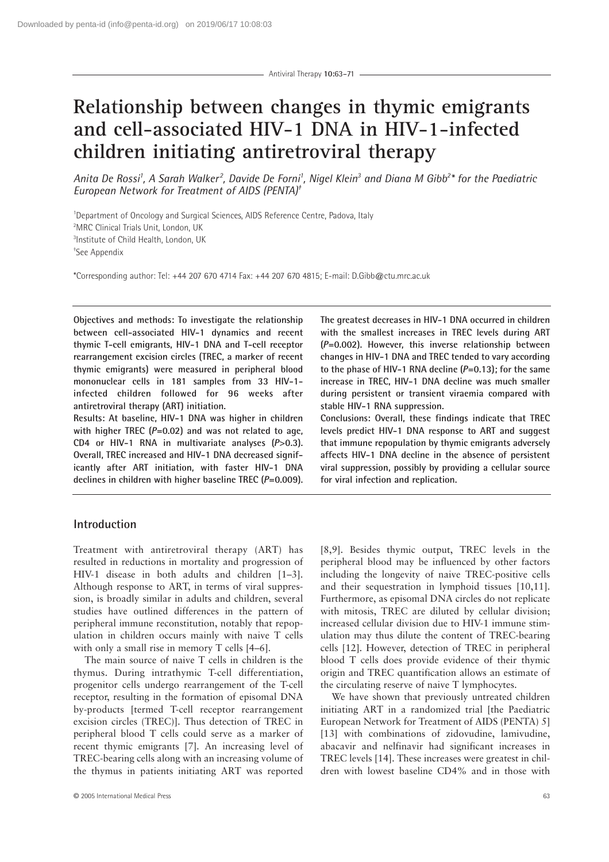# **Relationship between changes in thymic emigrants and cell-associated HIV-1 DNA in HIV-1-infected children initiating antiretroviral therapy**

*Anita De Rossi1 , A Sarah Walker <sup>2</sup> , Davide De Forni1 , Nigel Klein3 and Diana M Gibb2 \* for the Paediatric European Network for Treatment of AIDS (PENTA)†*

<sup>1</sup>Department of Oncology and Surgical Sciences, AIDS Reference Centre, Padova, Italy 2 MRC Clinical Trials Unit, London, UK 3 Institute of Child Health, London, UK † See Appendix

\*Corresponding author: Tel: +44 207 670 4714 Fax: +44 207 670 4815; E-mail: D.Gibb@ctu.mrc.ac.uk

**Objectives and methods: To investigate the relationship between cell-associated HIV-1 dynamics and recent thymic T-cell emigrants, HIV-1 DNA and T-cell receptor rearrangement excision circles (TREC, a marker of recent thymic emigrants) were measured in peripheral blood mononuclear cells in 181 samples from 33 HIV-1 infected children followed for 96 weeks after antiretroviral therapy (ART) initiation.**

**Results: At baseline, HIV-1 DNA was higher in children with higher TREC (***P***=0.02) and was not related to age, CD4 or HIV-1 RNA in multivariate analyses (***P***>0.3). Overall, TREC increased and HIV-1 DNA decreased significantly after ART initiation, with faster HIV-1 DNA declines in children with higher baseline TREC (***P***=0.009).**

**The greatest decreases in HIV-1 DNA occurred in children with the smallest increases in TREC levels during ART (***P***=0.002). However, this inverse relationship between changes in HIV-1 DNA and TREC tended to vary according to the phase of HIV-1 RNA decline (***P***=0.13); for the same increase in TREC, HIV-1 DNA decline was much smaller during persistent or transient viraemia compared with stable HIV-1 RNA suppression.** 

**Conclusions: Overall, these findings indicate that TREC levels predict HIV-1 DNA response to ART and suggest that immune repopulation by thymic emigrants adversely affects HIV-1 DNA decline in the absence of persistent viral suppression, possibly by providing a cellular source for viral infection and replication.** 

# **Introduction**

Treatment with antiretroviral therapy (ART) has resulted in reductions in mortality and progression of HIV-1 disease in both adults and children [1–3]. Although response to ART, in terms of viral suppression, is broadly similar in adults and children, several studies have outlined differences in the pattern of peripheral immune reconstitution, notably that repopulation in children occurs mainly with naive T cells with only a small rise in memory T cells [4–6].

The main source of naive T cells in children is the thymus. During intrathymic T-cell differentiation, progenitor cells undergo rearrangement of the T-cell receptor, resulting in the formation of episomal DNA by-products [termed T-cell receptor rearrangement excision circles (TREC)]. Thus detection of TREC in peripheral blood T cells could serve as a marker of recent thymic emigrants [7]. An increasing level of TREC-bearing cells along with an increasing volume of the thymus in patients initiating ART was reported [8,9]. Besides thymic output, TREC levels in the peripheral blood may be influenced by other factors including the longevity of naive TREC-positive cells and their sequestration in lymphoid tissues [10,11]. Furthermore, as episomal DNA circles do not replicate with mitosis, TREC are diluted by cellular division; increased cellular division due to HIV-1 immune stimulation may thus dilute the content of TREC-bearing cells [12]. However, detection of TREC in peripheral blood T cells does provide evidence of their thymic origin and TREC quantification allows an estimate of the circulating reserve of naive T lymphocytes.

We have shown that previously untreated children initiating ART in a randomized trial [the Paediatric European Network for Treatment of AIDS (PENTA) 5] [13] with combinations of zidovudine, lamivudine, abacavir and nelfinavir had significant increases in TREC levels [14]. These increases were greatest in children with lowest baseline CD4% and in those with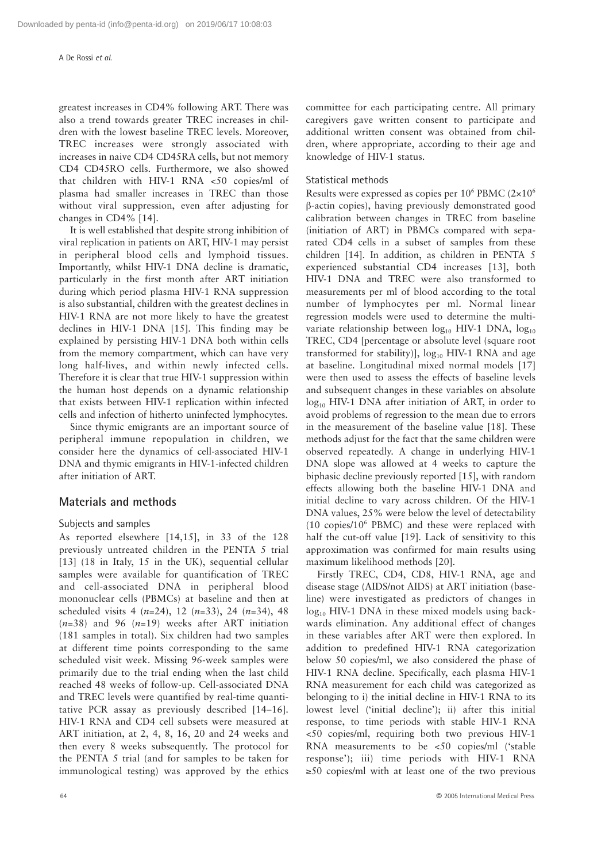#### A De Rossi *et al*.

greatest increases in CD4% following ART. There was also a trend towards greater TREC increases in children with the lowest baseline TREC levels. Moreover, TREC increases were strongly associated with increases in naive CD4 CD45RA cells, but not memory CD4 CD45RO cells. Furthermore, we also showed that children with HIV-1 RNA <50 copies/ml of plasma had smaller increases in TREC than those without viral suppression, even after adjusting for changes in CD4% [14].

It is well established that despite strong inhibition of viral replication in patients on ART, HIV-1 may persist in peripheral blood cells and lymphoid tissues. Importantly, whilst HIV-1 DNA decline is dramatic, particularly in the first month after ART initiation during which period plasma HIV-1 RNA suppression is also substantial, children with the greatest declines in HIV-1 RNA are not more likely to have the greatest declines in HIV-1 DNA [15]. This finding may be explained by persisting HIV-1 DNA both within cells from the memory compartment, which can have very long half-lives, and within newly infected cells. Therefore it is clear that true HIV-1 suppression within the human host depends on a dynamic relationship that exists between HIV-1 replication within infected cells and infection of hitherto uninfected lymphocytes.

Since thymic emigrants are an important source of peripheral immune repopulation in children, we consider here the dynamics of cell-associated HIV-1 DNA and thymic emigrants in HIV-1-infected children after initiation of ART.

## **Materials and methods**

## Subjects and samples

As reported elsewhere [14,15], in 33 of the 128 previously untreated children in the PENTA 5 trial [13] (18 in Italy, 15 in the UK), sequential cellular samples were available for quantification of TREC and cell-associated DNA in peripheral blood mononuclear cells (PBMCs) at baseline and then at scheduled visits 4 (*n*=24), 12 (*n*=33), 24 (*n*=34), 48 (*n*=38) and 96 (*n*=19) weeks after ART initiation (181 samples in total). Six children had two samples at different time points corresponding to the same scheduled visit week. Missing 96-week samples were primarily due to the trial ending when the last child reached 48 weeks of follow-up. Cell-associated DNA and TREC levels were quantified by real-time quantitative PCR assay as previously described [14–16]. HIV-1 RNA and CD4 cell subsets were measured at ART initiation, at 2, 4, 8, 16, 20 and 24 weeks and then every 8 weeks subsequently. The protocol for the PENTA 5 trial (and for samples to be taken for immunological testing) was approved by the ethics committee for each participating centre. All primary caregivers gave written consent to participate and additional written consent was obtained from children, where appropriate, according to their age and knowledge of HIV-1 status.

## Statistical methods

Results were expressed as copies per  $10^6$  PBMC (2×10<sup>6</sup>) β-actin copies), having previously demonstrated good calibration between changes in TREC from baseline (initiation of ART) in PBMCs compared with separated CD4 cells in a subset of samples from these children [14]. In addition, as children in PENTA 5 experienced substantial CD4 increases [13], both HIV-1 DNA and TREC were also transformed to measurements per ml of blood according to the total number of lymphocytes per ml. Normal linear regression models were used to determine the multivariate relationship between  $log_{10}$  HIV-1 DNA,  $log_{10}$ TREC, CD4 [percentage or absolute level (square root transformed for stability)],  $log_{10}$  HIV-1 RNA and age at baseline. Longitudinal mixed normal models [17] were then used to assess the effects of baseline levels and subsequent changes in these variables on absolute  $log<sub>10</sub>$  HIV-1 DNA after initiation of ART, in order to avoid problems of regression to the mean due to errors in the measurement of the baseline value [18]. These methods adjust for the fact that the same children were observed repeatedly. A change in underlying HIV-1 DNA slope was allowed at 4 weeks to capture the biphasic decline previously reported [15], with random effects allowing both the baseline HIV-1 DNA and initial decline to vary across children. Of the HIV-1 DNA values, 25% were below the level of detectability (10 copies/106 PBMC) and these were replaced with half the cut-off value [19]. Lack of sensitivity to this approximation was confirmed for main results using maximum likelihood methods [20].

Firstly TREC, CD4, CD8, HIV-1 RNA, age and disease stage (AIDS/not AIDS) at ART initiation (baseline) were investigated as predictors of changes in  $log<sub>10</sub>$  HIV-1 DNA in these mixed models using backwards elimination. Any additional effect of changes in these variables after ART were then explored. In addition to predefined HIV-1 RNA categorization below 50 copies/ml, we also considered the phase of HIV-1 RNA decline. Specifically, each plasma HIV-1 RNA measurement for each child was categorized as belonging to i) the initial decline in HIV-1 RNA to its lowest level ('initial decline'); ii) after this initial response, to time periods with stable HIV-1 RNA <50 copies/ml, requiring both two previous HIV-1 RNA measurements to be <50 copies/ml ('stable response'); iii) time periods with HIV-1 RNA ≥50 copies/ml with at least one of the two previous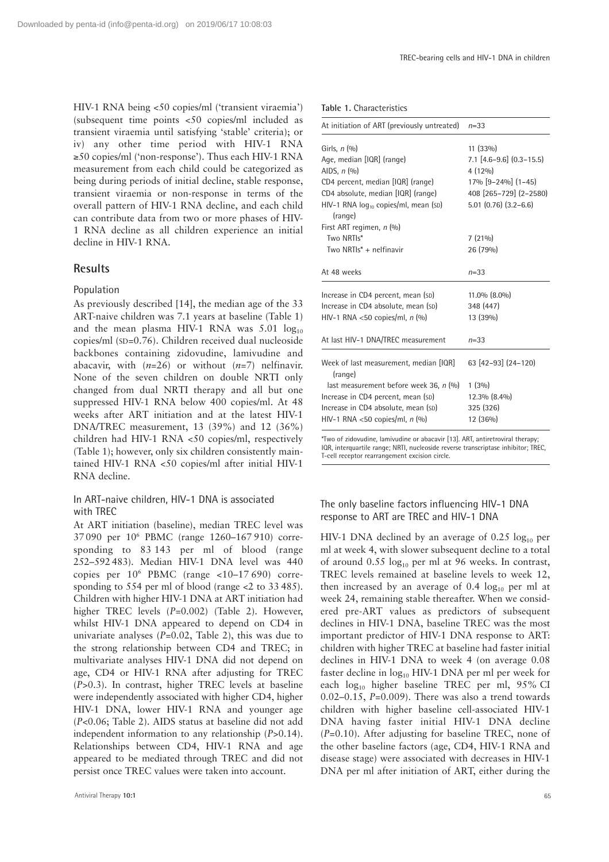HIV-1 RNA being <50 copies/ml ('transient viraemia') (subsequent time points <50 copies/ml included as transient viraemia until satisfying 'stable' criteria); or iv) any other time period with HIV-1 RNA ≥50 copies/ml ('non-response'). Thus each HIV-1 RNA measurement from each child could be categorized as being during periods of initial decline, stable response, transient viraemia or non-response in terms of the overall pattern of HIV-1 RNA decline, and each child can contribute data from two or more phases of HIV-1 RNA decline as all children experience an initial decline in HIV-1 RNA.

# **Results**

## Population

As previously described [14], the median age of the 33 ART-naive children was 7.1 years at baseline (Table 1) and the mean plasma HIV-1 RNA was  $5.01 \log_{10}$ copies/ml (SD=0.76). Children received dual nucleoside backbones containing zidovudine, lamivudine and abacavir, with (*n*=26) or without (*n*=7) nelfinavir. None of the seven children on double NRTI only changed from dual NRTI therapy and all but one suppressed HIV-1 RNA below 400 copies/ml. At 48 weeks after ART initiation and at the latest HIV-1 DNA/TREC measurement, 13 (39%) and 12 (36%) children had HIV-1 RNA <50 copies/ml, respectively (Table 1); however, only six children consistently maintained HIV-1 RNA <50 copies/ml after initial HIV-1 RNA decline.

# In ART-naive children, HIV-1 DNA is associated with TREC

At ART initiation (baseline), median TREC level was 37 090 per 106 PBMC (range 1260–167 910) corresponding to 83 143 per ml of blood (range 252–592 483). Median HIV-1 DNA level was 440 copies per  $10^6$  PBMC (range <10–17 690) corresponding to 554 per ml of blood (range <2 to 33 485). Children with higher HIV-1 DNA at ART initiation had higher TREC levels (*P*=0.002) (Table 2). However, whilst HIV-1 DNA appeared to depend on CD4 in univariate analyses  $(P=0.02,$  Table 2), this was due to the strong relationship between CD4 and TREC; in multivariate analyses HIV-1 DNA did not depend on age, CD4 or HIV-1 RNA after adjusting for TREC (*P*>0.3). In contrast, higher TREC levels at baseline were independently associated with higher CD4, higher HIV-1 DNA, lower HIV-1 RNA and younger age (*P*<0.06; Table 2). AIDS status at baseline did not add independent information to any relationship (*P*>0.14). Relationships between CD4, HIV-1 RNA and age appeared to be mediated through TREC and did not persist once TREC values were taken into account.

|  |  | Table 1. Characteristics |
|--|--|--------------------------|
|--|--|--------------------------|

| At initiation of ART (previously untreated)                                                                                                                                                   | $n = 33$                                                                                                                       |  |  |
|-----------------------------------------------------------------------------------------------------------------------------------------------------------------------------------------------|--------------------------------------------------------------------------------------------------------------------------------|--|--|
| Girls, $n(%)$<br>Age, median [IQR] (range)<br>AIDS, $n(%)$<br>CD4 percent, median [IQR] (range)<br>CD4 absolute, median [IQR] (range)<br>HIV-1 RNA $log_{10}$ copies/ml, mean (SD)<br>(range) | 11 (33%)<br>$7.1$ [4.6-9.6] (0.3-15.5)<br>$4(12\%)$<br>17% [9-24%] (1-45)<br>408 [265-729] (2-2580)<br>$5.01$ (0.76) (3.2–6.6) |  |  |
| First ART regimen, n (%)<br>Two NRTIs*<br>Two NRTIs <sup>*</sup> + nelfinavir                                                                                                                 | $7(21\%)$<br>26 (79%)                                                                                                          |  |  |
| At 48 weeks                                                                                                                                                                                   | $n = 33$                                                                                                                       |  |  |
| Increase in CD4 percent, mean (SD)<br>Increase in CD4 absolute, mean (SD)<br>HIV-1 RNA <50 copies/ml, $n$ (%)                                                                                 | 11.0% (8.0%)<br>348 (447)<br>13 (39%)                                                                                          |  |  |
| At last HIV-1 DNA/TREC measurement                                                                                                                                                            | $n = 33$                                                                                                                       |  |  |
| Week of last measurement, median [IQR]<br>(range)                                                                                                                                             | 63 [42-93] (24-120)                                                                                                            |  |  |
| last measurement before week 36, n (%)<br>Increase in CD4 percent, mean (SD)<br>Increase in CD4 absolute, mean (SD)<br>HIV-1 RNA <50 copies/ml, $n$ (%)                                       | 1(3%)<br>12.3% (8.4%)<br>325 (326)<br>12 (36%)                                                                                 |  |  |

\*Two of zidovudine, lamivudine or abacavir [13]. ART, antiretroviral therapy; IQR, interquartile range; NRTI, nucleoside reverse transcriptase inhibitor; TREC, T-cell receptor rearrangement excision circle.

## The only baseline factors influencing HIV-1 DNA response to ART are TREC and HIV-1 DNA

HIV-1 DNA declined by an average of  $0.25 \log_{10}$  per ml at week 4, with slower subsequent decline to a total of around  $0.55 \log_{10}$  per ml at 96 weeks. In contrast, TREC levels remained at baseline levels to week 12, then increased by an average of 0.4  $log_{10}$  per ml at week 24, remaining stable thereafter. When we considered pre-ART values as predictors of subsequent declines in HIV-1 DNA, baseline TREC was the most important predictor of HIV-1 DNA response to ART: children with higher TREC at baseline had faster initial declines in HIV-1 DNA to week 4 (on average 0.08 faster decline in  $log_{10}$  HIV-1 DNA per ml per week for each log<sub>10</sub> higher baseline TREC per ml, 95% CI 0.02–0.15, *P*=0.009). There was also a trend towards children with higher baseline cell-associated HIV-1 DNA having faster initial HIV-1 DNA decline (*P*=0.10). After adjusting for baseline TREC, none of the other baseline factors (age, CD4, HIV-1 RNA and disease stage) were associated with decreases in HIV-1 DNA per ml after initiation of ART, either during the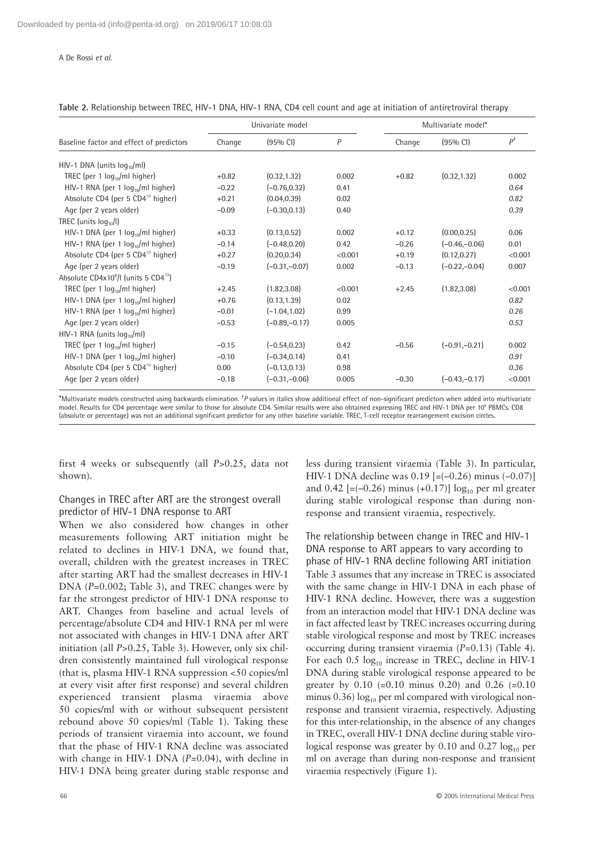A De Rossi *et al*.

| Table 2. Relationship between TREC, HIV-1 DNA, HIV-1 RNA, CD4 cell count and age at initiation of antiretroviral therapy |  |
|--------------------------------------------------------------------------------------------------------------------------|--|
|--------------------------------------------------------------------------------------------------------------------------|--|

|                                                               |         | Univariate model |                | Multivariate model* |                    |         |
|---------------------------------------------------------------|---------|------------------|----------------|---------------------|--------------------|---------|
| Baseline factor and effect of predictors                      | Change  | $(95%$ CI)       | $\overline{P}$ | Change              | $(95% \text{ Cl})$ | $P^+$   |
| HIV-1 DNA (units $log_{10}/ml$ )                              |         |                  |                |                     |                    |         |
| TREC (per 1 $log_{10}/ml$ higher)                             | $+0.82$ | (0.32, 1.32)     | 0.002          | $+0.82$             | (0.32, 1.32)       | 0.002   |
| HIV-1 RNA (per 1 $log_{10}/ml$ higher)                        | $-0.22$ | $(-0.76, 0.32)$  | 0.41           |                     |                    | 0.64    |
| Absolute CD4 (per 5 $CD4^{1/2}$ higher)                       | $+0.21$ | (0.04, 0.39)     | 0.02           |                     |                    | 0.82    |
| Age (per 2 years older)                                       | $-0.09$ | $(-0.30, 0.13)$  | 0.40           |                     |                    | 0.39    |
| TREC (units $log_{10}/I$ )                                    |         |                  |                |                     |                    |         |
| HIV-1 DNA (per 1 $log_{10}/ml$ higher)                        | $+0.33$ | (0.13, 0.52)     | 0.002          | $+0.12$             | (0.00, 0.25)       | 0.06    |
| HIV-1 RNA (per 1 $log_{10}/ml$ higher)                        | $-0.14$ | $(-0.48.0.20)$   | 0.42           | $-0.26$             | $(-0.46,-0.06)$    | 0.01    |
| Absolute CD4 (per 5 CD4 <sup>1/2</sup> higher)                | $+0.27$ | (0.20, 0.34)     | < 0.001        | $+0.19$             | (0.12, 0.27)       | < 0.001 |
| Age (per 2 years older)                                       | $-0.19$ | $(-0.31,-0.07)$  | 0.002          | $-0.13$             | $(-0.22,-0.04)$    | 0.007   |
| Absolute CD4x10 <sup>6</sup> /l (units 5 CD4 <sup>1/2</sup> ) |         |                  |                |                     |                    |         |
| TREC (per 1 $log_{10}/ml$ higher)                             | $+2.45$ | (1.82, 3.08)     | < 0.001        | $+2.45$             | (1.82, 3.08)       | < 0.001 |
| HIV-1 DNA (per 1 $log_{10}/ml$ higher)                        | $+0.76$ | (0.13, 1.39)     | 0.02           |                     |                    | 0.82    |
| HIV-1 RNA (per 1 $log_{10}/ml$ higher)                        | $-0.01$ | $(-1.04, 1.02)$  | 0.99           |                     |                    | 0.26    |
| Age (per 2 years older)                                       | $-0.53$ | $(-0.89,-0.17)$  | 0.005          |                     |                    | 0.53    |
| HIV-1 RNA (units $log_{10}/ml$ )                              |         |                  |                |                     |                    |         |
| TREC (per 1 $log_{10}/ml$ higher)                             | $-0.15$ | $(-0.54, 0.23)$  | 0.42           | $-0.56$             | $(-0.91,-0.21)$    | 0.002   |
| HIV-1 DNA (per 1 $log_{10}/ml$ higher)                        | $-0.10$ | $(-0.34, 0.14)$  | 0.41           |                     |                    | 0.91    |
| Absolute CD4 (per 5 $CD4^{\frac{1}{2}}$ higher)               | 0.00    | $(-0.13, 0.13)$  | 0.98           |                     |                    | 0.36    |
| Age (per 2 years older)                                       | $-0.18$ | $(-0.31,-0.06)$  | 0.005          | $-0.30$             | $(-0.43,-0.17)$    | < 0.001 |

\*Multivariate models constructed using backwards elimination. <sup>†</sup>P values in italics show additional effect of non-significant predictors when added into multivariate model. Results for CD4 percentage were similar to those for absolute CD4. Similar results were also obtained expressing TREC and HIV-1 DNA per 10<sup>6</sup> PBMCs. CD8 (absolute or percentage) was not an additional significant predictor for any other baseline variable. TREC, T-cell receptor rearrangement excision circles.

first 4 weeks or subsequently (all *P*>0.25, data not shown).

Changes in TREC after ART are the strongest overall predictor of HIV-1 DNA response to ART

When we also considered how changes in other measurements following ART initiation might be related to declines in HIV-1 DNA, we found that, overall, children with the greatest increases in TREC after starting ART had the smallest decreases in HIV-1 DNA (*P*=0.002; Table 3), and TREC changes were by far the strongest predictor of HIV-1 DNA response to ART. Changes from baseline and actual levels of percentage/absolute CD4 and HIV-1 RNA per ml were not associated with changes in HIV-1 DNA after ART initiation (all *P*>0.25, Table 3). However, only six children consistently maintained full virological response (that is, plasma HIV-1 RNA suppression <50 copies/ml at every visit after first response) and several children experienced transient plasma viraemia above 50 copies/ml with or without subsequent persistent rebound above 50 copies/ml (Table 1). Taking these periods of transient viraemia into account, we found that the phase of HIV-1 RNA decline was associated with change in HIV-1 DNA (*P*=0.04), with decline in HIV-1 DNA being greater during stable response and less during transient viraemia (Table 3). In particular, HIV-1 DNA decline was  $0.19$  [=(-0.26) minus (-0.07)] and 0.42  $[=(-0.26)$  minus  $(+0.17)] \log_{10}$  per ml greater during stable virological response than during nonresponse and transient viraemia, respectively.

The relationship between change in TREC and HIV-1 DNA response to ART appears to vary according to phase of HIV-1 RNA decline following ART initiation Table 3 assumes that any increase in TREC is associated with the same change in HIV-1 DNA in each phase of HIV-1 RNA decline. However, there was a suggestion from an interaction model that HIV-1 DNA decline was in fact affected least by TREC increases occurring during stable virological response and most by TREC increases occurring during transient viraemia (*P*=0.13) (Table 4). For each  $0.5 \log_{10}$  increase in TREC, decline in HIV-1 DNA during stable virological response appeared to be greater by  $0.10$  (=0.10 minus 0.20) and 0.26 (=0.10 minus  $0.36$ )  $\log_{10}$  per ml compared with virological nonresponse and transient viraemia, respectively. Adjusting for this inter-relationship, in the absence of any changes in TREC, overall HIV-1 DNA decline during stable virological response was greater by 0.10 and 0.27  $log_{10}$  per ml on average than during non-response and transient viraemia respectively (Figure 1).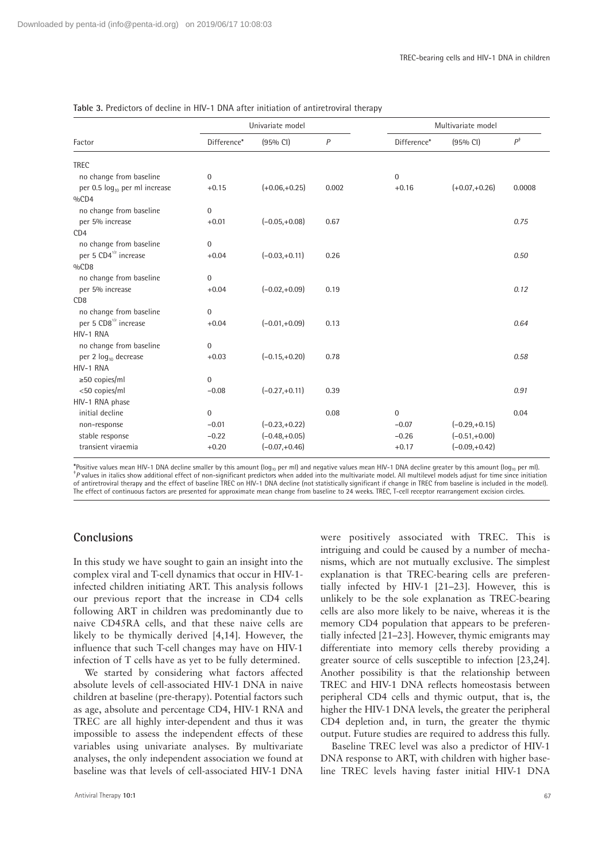|                                                                      | Univariate model          |                 |       |                | Multivariate model |               |  |
|----------------------------------------------------------------------|---------------------------|-----------------|-------|----------------|--------------------|---------------|--|
| Factor                                                               | Difference*               | (95% CI)        | P     | Difference*    | $(95% \text{ Cl})$ | $P^{\dagger}$ |  |
| <b>TREC</b>                                                          |                           |                 |       |                |                    |               |  |
| no change from baseline                                              | $\overline{0}$            |                 |       | $\overline{0}$ |                    |               |  |
| per 0.5 log <sub>10</sub> per ml increase<br>$0/0$ CD4               | $+0.15$                   | $(+0.06,+0.25)$ | 0.002 | $+0.16$        | $(+0.07,+0.26)$    | 0.0008        |  |
| no change from baseline                                              | $\mathbf{0}$              |                 |       |                |                    |               |  |
| per 5% increase<br>CD <sub>4</sub>                                   | $+0.01$                   | $(-0.05,+0.08)$ | 0.67  |                |                    | 0.75          |  |
| no change from baseline<br>per 5 CD4 <sup>1/2</sup> increase<br>%CD8 | $\mathbf{0}$<br>$+0.04$   | $(-0.03,+0.11)$ | 0.26  |                |                    | 0.50          |  |
| no change from baseline<br>per 5% increase<br>C <sub>D</sub> 8       | $\overline{0}$<br>$+0.04$ | $(-0.02,+0.09)$ | 0.19  |                |                    | 0.12          |  |
| no change from baseline<br>per 5 CD8 <sup>1/2</sup> increase         | $\overline{0}$<br>$+0.04$ | $(-0.01,+0.09)$ | 0.13  |                |                    | 0.64          |  |
| HIV-1 RNA                                                            |                           |                 |       |                |                    |               |  |
| no change from baseline<br>per 2 log <sub>10</sub> decrease          | $\mathbf{0}$<br>$+0.03$   | $(-0.15,+0.20)$ | 0.78  |                |                    | 0.58          |  |
| HIV-1 RNA                                                            |                           |                 |       |                |                    |               |  |
| $\geq$ 50 copies/ml                                                  | $\overline{0}$            |                 |       |                |                    |               |  |
| <50 copies/ml<br>HIV-1 RNA phase                                     | $-0.08$                   | $(-0.27,+0.11)$ | 0.39  |                |                    | 0.91          |  |
| initial decline                                                      | $\mathbf{0}$              |                 | 0.08  | $\mathbf{0}$   |                    | 0.04          |  |
| non-response                                                         | $-0.01$                   | $(-0.23,+0.22)$ |       | $-0.07$        | $(-0.29,+0.15)$    |               |  |
| stable response                                                      | $-0.22$                   | $(-0.48,+0.05)$ |       | $-0.26$        | $(-0.51,+0.00)$    |               |  |
| transient viraemia                                                   | $+0.20$                   | $(-0.07,+0.46)$ |       | $+0.17$        | $(-0.09,+0.42)$    |               |  |

#### **Table 3.** Predictors of decline in HIV-1 DNA after initiation of antiretroviral therapy

\*Positive values mean HIV-1 DNA decline smaller by this amount (log<sub>10</sub> per ml) and negative values mean HIV-1 DNA decline greater by this amount (log<sub>10</sub> per ml). *P* values in italics show additional effect of non-significant predictors when added into the multivariate model. All multilevel models adjust for time since initiation of antiretroviral therapy and the effect of baseline TREC on HIV-1 DNA decline (not statistically significant if change in TREC from baseline is included in the model). The effect of continuous factors are presented for approximate mean change from baseline to 24 weeks. TREC, T-cell receptor rearrangement excision circles.

# **Conclusions**

In this study we have sought to gain an insight into the complex viral and T-cell dynamics that occur in HIV-1 infected children initiating ART. This analysis follows our previous report that the increase in CD4 cells following ART in children was predominantly due to naive CD45RA cells, and that these naive cells are likely to be thymically derived [4,14]. However, the influence that such T-cell changes may have on HIV-1 infection of T cells have as yet to be fully determined.

We started by considering what factors affected absolute levels of cell-associated HIV-1 DNA in naive children at baseline (pre-therapy). Potential factors such as age, absolute and percentage CD4, HIV-1 RNA and TREC are all highly inter-dependent and thus it was impossible to assess the independent effects of these variables using univariate analyses. By multivariate analyses, the only independent association we found at baseline was that levels of cell-associated HIV-1 DNA

were positively associated with TREC. This is intriguing and could be caused by a number of mechanisms, which are not mutually exclusive. The simplest explanation is that TREC-bearing cells are preferentially infected by HIV-1 [21–23]. However, this is unlikely to be the sole explanation as TREC-bearing cells are also more likely to be naive, whereas it is the memory CD4 population that appears to be preferentially infected [21–23]. However, thymic emigrants may differentiate into memory cells thereby providing a greater source of cells susceptible to infection [23,24]. Another possibility is that the relationship between TREC and HIV-1 DNA reflects homeostasis between peripheral CD4 cells and thymic output, that is, the higher the HIV-1 DNA levels, the greater the peripheral CD4 depletion and, in turn, the greater the thymic output. Future studies are required to address this fully.

Baseline TREC level was also a predictor of HIV-1 DNA response to ART, with children with higher baseline TREC levels having faster initial HIV-1 DNA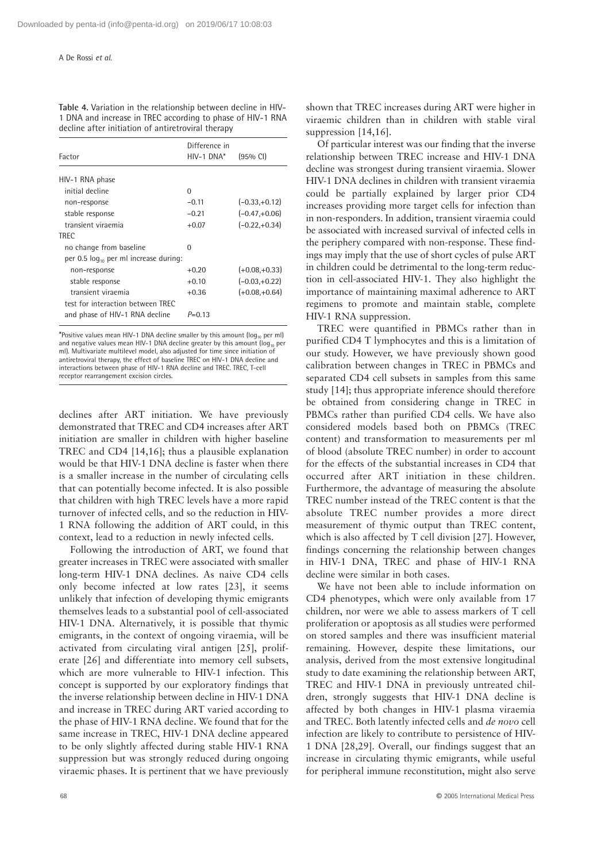**Table 4.** Variation in the relationship between decline in HIV-1 DNA and increase in TREC according to phase of HIV-1 RNA decline after initiation of antiretroviral therapy

| Factor                                     | Difference in<br>HIV-1 DNA* | $(95%$ CI)      |
|--------------------------------------------|-----------------------------|-----------------|
| HIV-1 RNA phase                            |                             |                 |
| initial decline                            | $\Omega$                    |                 |
| non-response                               | $-0.11$                     | $(-0.33,+0.12)$ |
| stable response                            | $-0.21$                     | $(-0.47.+0.06)$ |
| transient viraemia                         | $+0.07$                     | $(-0.22,+0.34)$ |
| <b>TREC</b>                                |                             |                 |
| no change from baseline                    | 0                           |                 |
| per 0.5 $log_{10}$ per ml increase during: |                             |                 |
| non-response                               | $+0.20$                     | $(+0.08.+0.33)$ |
| stable response                            | $+0.10$                     | $(-0.03,+0.22)$ |
| transient viraemia                         | $+0.36$                     | $(+0.08,+0.64)$ |
| test for interaction between TREC          |                             |                 |
| and phase of HIV-1 RNA decline             | $P=0.13$                    |                 |

\*Positive values mean HIV-1 DNA decline smaller by this amount ( $log_{10}$  per ml) and negative values mean HIV-1 DNA decline greater by this amount (log<sub>10</sub> per ml). Multivariate multilevel model, also adjusted for time since initiation of antiretroviral therapy, the effect of baseline TREC on HIV-1 DNA decline and interactions between phase of HIV-1 RNA decline and TREC. TREC, T-cell receptor rearrangement excision circles.

declines after ART initiation. We have previously demonstrated that TREC and CD4 increases after ART initiation are smaller in children with higher baseline TREC and CD4 [14,16]; thus a plausible explanation would be that HIV-1 DNA decline is faster when there is a smaller increase in the number of circulating cells that can potentially become infected. It is also possible that children with high TREC levels have a more rapid turnover of infected cells, and so the reduction in HIV-1 RNA following the addition of ART could, in this context, lead to a reduction in newly infected cells.

Following the introduction of ART, we found that greater increases in TREC were associated with smaller long-term HIV-1 DNA declines. As naive CD4 cells only become infected at low rates [23], it seems unlikely that infection of developing thymic emigrants themselves leads to a substantial pool of cell-associated HIV-1 DNA. Alternatively, it is possible that thymic emigrants, in the context of ongoing viraemia, will be activated from circulating viral antigen [25], proliferate [26] and differentiate into memory cell subsets, which are more vulnerable to HIV-1 infection. This concept is supported by our exploratory findings that the inverse relationship between decline in HIV-1 DNA and increase in TREC during ART varied according to the phase of HIV-1 RNA decline. We found that for the same increase in TREC, HIV-1 DNA decline appeared to be only slightly affected during stable HIV-1 RNA suppression but was strongly reduced during ongoing viraemic phases. It is pertinent that we have previously

shown that TREC increases during ART were higher in viraemic children than in children with stable viral suppression [14,16].

Of particular interest was our finding that the inverse relationship between TREC increase and HIV-1 DNA decline was strongest during transient viraemia. Slower HIV-1 DNA declines in children with transient viraemia could be partially explained by larger prior CD4 increases providing more target cells for infection than in non-responders. In addition, transient viraemia could be associated with increased survival of infected cells in the periphery compared with non-response. These findings may imply that the use of short cycles of pulse ART in children could be detrimental to the long-term reduction in cell-associated HIV-1. They also highlight the importance of maintaining maximal adherence to ART regimens to promote and maintain stable, complete HIV-1 RNA suppression.

TREC were quantified in PBMCs rather than in purified CD4 T lymphocytes and this is a limitation of our study. However, we have previously shown good calibration between changes in TREC in PBMCs and separated CD4 cell subsets in samples from this same study [14]; thus appropriate inference should therefore be obtained from considering change in TREC in PBMCs rather than purified CD4 cells. We have also considered models based both on PBMCs (TREC content) and transformation to measurements per ml of blood (absolute TREC number) in order to account for the effects of the substantial increases in CD4 that occurred after ART initiation in these children. Furthermore, the advantage of measuring the absolute TREC number instead of the TREC content is that the absolute TREC number provides a more direct measurement of thymic output than TREC content, which is also affected by T cell division [27]. However, findings concerning the relationship between changes in HIV-1 DNA, TREC and phase of HIV-1 RNA decline were similar in both cases.

We have not been able to include information on CD4 phenotypes, which were only available from 17 children, nor were we able to assess markers of T cell proliferation or apoptosis as all studies were performed on stored samples and there was insufficient material remaining. However, despite these limitations, our analysis, derived from the most extensive longitudinal study to date examining the relationship between ART, TREC and HIV-1 DNA in previously untreated children, strongly suggests that HIV-1 DNA decline is affected by both changes in HIV-1 plasma viraemia and TREC. Both latently infected cells and *de novo* cell infection are likely to contribute to persistence of HIV-1 DNA [28,29]. Overall, our findings suggest that an increase in circulating thymic emigrants, while useful for peripheral immune reconstitution, might also serve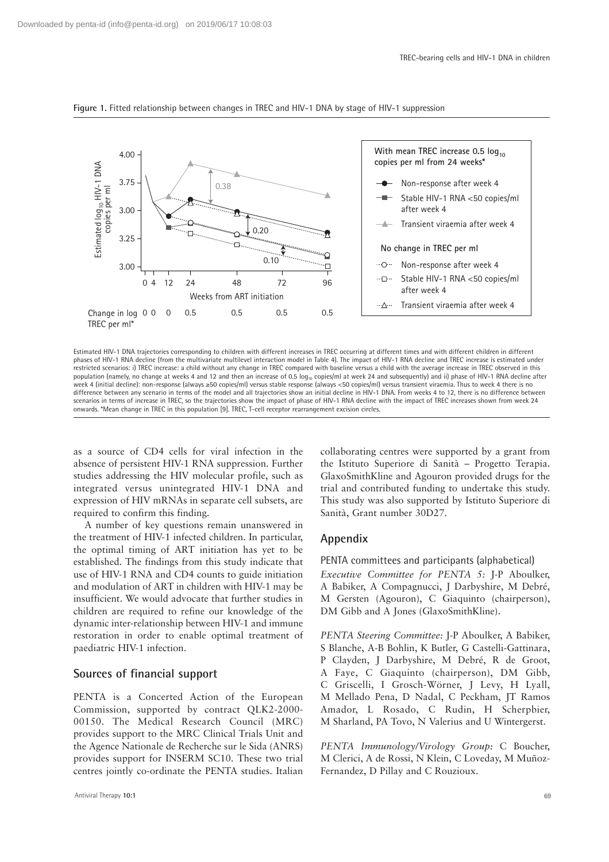

**Figure 1.** Fitted relationship between changes in TREC and HIV-1 DNA by stage of HIV-1 suppression

Estimated HIV-1 DNA trajectories corresponding to children with different increases in TREC occurring at different times and with different children in different phases of HIV-1 RNA decline (from the multivariate multilevel interaction model in Table 4). The impact of HIV-1 RNA decline and TREC increase is estimated under restricted scenarios: i) TREC increase: a child without any change in TREC compared with baseline versus a child with the average increase in TREC observed in this population (namely, no change at weeks 4 and 12 and then an increase of 0.5 log<sub>10</sub> copies/ml at week 24 and subsequently) and ii) phase of HIV-1 RNA decline after week 4 (initial decline): non-response (always ≥50 copies/ml) versus stable response (always <50 copies/ml) versus transient viraemia. Thus to week 4 there is no difference between any scenario in terms of the model and all trajectories show an initial decline in HIV-1 DNA. From weeks 4 to 12, there is no difference between scenarios in terms of increase in TREC, so the trajectories show the impact of phase of HIV-1 RNA decline with the impact of TREC increases shown from week 24 onwards. \*Mean change in TREC in this population [9]. TREC, T-cell receptor rearrangement excision circles.

as a source of CD4 cells for viral infection in the absence of persistent HIV-1 RNA suppression. Further studies addressing the HIV molecular profile, such as integrated versus unintegrated HIV-1 DNA and expression of HIV mRNAs in separate cell subsets, are required to confirm this finding.

A number of key questions remain unanswered in the treatment of HIV-1 infected children. In particular, the optimal timing of ART initiation has yet to be established. The findings from this study indicate that use of HIV-1 RNA and CD4 counts to guide initiation and modulation of ART in children with HIV-1 may be insufficient. We would advocate that further studies in children are required to refine our knowledge of the dynamic inter-relationship between HIV-1 and immune restoration in order to enable optimal treatment of paediatric HIV-1 infection.

# **Sources of financial support**

PENTA is a Concerted Action of the European Commission, supported by contract QLK2-2000- 00150. The Medical Research Council (MRC) provides support to the MRC Clinical Trials Unit and the Agence Nationale de Recherche sur le Sida (ANRS) provides support for INSERM SC10. These two trial centres jointly co-ordinate the PENTA studies. Italian

collaborating centres were supported by a grant from the Istituto Superiore di Sanità – Progetto Terapia. GlaxoSmithKline and Agouron provided drugs for the trial and contributed funding to undertake this study. This study was also supported by Istituto Superiore di Sanità, Grant number 30D27.

# **Appendix**

PENTA committees and participants (alphabetical) *Executive Committee for PENTA 5:* J-P Aboulker, A Babiker, A Compagnucci, J Darbyshire, M Debré, M Gersten (Agouron), C Giaquinto (chairperson), DM Gibb and A Jones (GlaxoSmithKline).

*PENTA Steering Committee:* J-P Aboulker, A Babiker, S Blanche, A-B Bohlin, K Butler, G Castelli-Gattinara, P Clayden, J Darbyshire, M Debré, R de Groot, A Faye, C Giaquinto (chairperson), DM Gibb, C Griscelli, I Grosch-Wörner, J Levy, H Lyall, M Mellado Pena, D Nadal, C Peckham, JT Ramos Amador, L Rosado, C Rudin, H Scherpbier, M Sharland, PA Tovo, N Valerius and U Wintergerst.

*PENTA Immunology/Virology Group:* C Boucher, M Clerici, A de Rossi, N Klein, C Loveday, M Muñoz-Fernandez, D Pillay and C Rouzioux.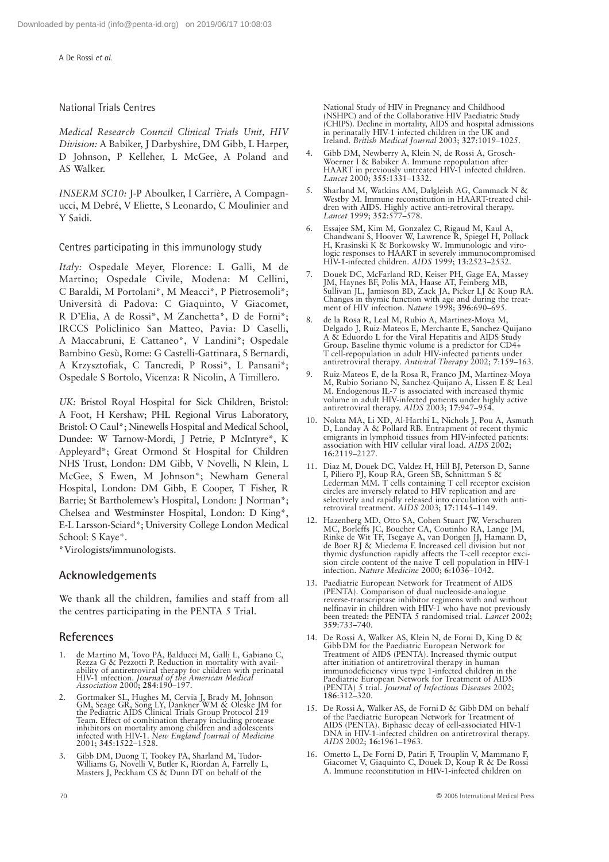A De Rossi *et al*.

# National Trials Centres

*Medical Research Council Clinical Trials Unit, HIV Division:* A Babiker, J Darbyshire, DM Gibb, L Harper, D Johnson, P Kelleher, L McGee, A Poland and AS Walker.

*INSERM SC10:* J-P Aboulker, I Carrière, A Compagnucci, M Debré, V Eliette, S Leonardo, C Moulinier and Y Saidi.

Centres participating in this immunology study

*Italy:* Ospedale Meyer, Florence: L Galli, M de Martino; Ospedale Civile, Modena: M Cellini, C Baraldi, M Portolani\*, M Meacci\*, P Pietrosemoli\*; Università di Padova: C Giaquinto, V Giacomet, R D'Elia, A de Rossi\*, M Zanchetta\*, D de Forni\*; IRCCS Policlinico San Matteo, Pavia: D Caselli, A Maccabruni, E Cattaneo\*, V Landini\*; Ospedale Bambino Gesù, Rome: G Castelli-Gattinara, S Bernardi, A Krzysztofiak, C Tancredi, P Rossi\*, L Pansani\*; Ospedale S Bortolo, Vicenza: R Nicolin, A Timillero.

*UK:* Bristol Royal Hospital for Sick Children, Bristol: A Foot, H Kershaw; PHL Regional Virus Laboratory, Bristol: O Caul\*; Ninewells Hospital and Medical School, Dundee: W Tarnow-Mordi, J Petrie, P McIntyre\*, K Appleyard\*; Great Ormond St Hospital for Children NHS Trust, London: DM Gibb, V Novelli, N Klein, L McGee, S Ewen, M Johnson\*; Newham General Hospital, London: DM Gibb, E Cooper, T Fisher, R Barrie: St Bartholemew's Hospital, London: J Norman\*: Chelsea and Westminster Hospital, London: D King\*, E-L Larsson-Sciard\*; University College London Medical School: S Kaye\*.

\*Virologists/immunologists.

# **Acknowledgements**

We thank all the children, families and staff from all the centres participating in the PENTA 5 Trial.

# **References**

- 1. de Martino M, Tovo PA, Balducci M, Galli L, Gabiano C, Rezza G & Pezzotti P. Reduction in mortality with availability of antiretroviral therapy for children with perinatal HIV-1 infection. Journal of the American Medica
- 2. Gortmaker SL, Hughes M, Cervia J, Brady M, Johnson GM, Seage GR, Song LY, Dankner WM & Oleske JM for the Pediatric AIDS Clinical Trials Group Protocol 219 Team**.** Effect of combination therapy including protease inhibitors on mortality among children and adolescents infected with HIV-1. *New England Journal of Medicine* 2001; **345**:1522–1528.
- 3. Gibb DM, Duong T, Tookey PA, Sharland M, Tudor-Williams G, Novelli V, Butler K, Riordan A, Farrelly L, Masters J, Peckham CS & Dunn DT on behalf of the

National Study of HIV in Pregnancy and Childhood (NSHPC) and of the Collaborative HIV Paediatric Study (CHIPS). Decline in mortality, AIDS and hospital admissions in perinatally HIV-1 infected children in the UK and Ireland. *British Medical Journal* 2003; **327**:1019–1025.

- 4. Gibb DM, Newberry A, Klein N, de Rossi A, Grosch-Woerner I & Babiker A. Immune repopulation after HAART in previously untreated HIV-1 infected children. *Lancet* 2000; **355**:1331–1332.
- 5. Sharland M, Watkins AM, Dalgleish AG, Cammack N & Westby M. Immune reconstitution in HAART-treated children with AIDS. Highly active anti-retroviral therapy. *Lancet* 1999; **352**:577–578.
- 6. Essajee SM, Kim M, Gonzalez C, Rigaud M, Kaul A, Chandwani S, Hoover W, Lawrence R, Spiegel H, Pollack H, Krasinski K & Borkowsky W**.** Immunologic and virologic responses to HAART in severely immunocompromised HIV-1-infected children. *AIDS* 1999; **13**:2523–2532.
- 7. Douek DC, McFarland RD, Keiser PH, Gage EA, Massey JM, Haynes BF, Polis MA, Haase AT, Feinberg MB, Sullivan JL, Jamieson BD, Zack JA, Picker LJ & Koup RA. Changes in thymic function with age and during the treatment of HIV infection. *Nature* 1998; **396**:690–695.
- 8. de la Rosa R, Leal M, Rubio A, Martinez-Moya M, Delgado J, Ruiz-Mateos E, Merchante E, Sanchez-Quijano A & Eduordo L for the Viral Hepatitis and AIDS Study Group**.** Baseline thymic volume is a predictor for CD4+ T cell-repopulation in adult HIV-infected patients under antiretroviral therapy*. Antiviral Therapy* 2002; **7**:159–163.
- 9. Ruiz-Mateos E, de la Rosa R, Franco JM, Martinez-Moya M, Rubio Soriano N, Sanchez-Quijano A, Lissen E & Leal M. Endogenous IL-7 is associated with increased thymic volume in adult HIV-infected patients under highly active antiretroviral therapy. *AIDS* 2003; **17**:947–954.
- 10. Nokta MA, Li XD, Al-Harthi L, Nichols J, Pou A, Asmuth D, Landay A & Pollard RB. Entrapment of recent thymic emigrants in lymphoid tissues from HIV-infected patients: association with HIV cellular viral load. *AIDS* 2002; **16**:2119–2127.
- 11. Diaz M, Douek DC, Valdez H, Hill BJ, Peterson D, Sanne I, Piliero PJ, Koup RA, Green SB, Schnittman S & Lederman MM**.** T cells containing T cell receptor excision circles are inversely related to HIV replication and are selectively and rapidly released into circulation with antiretroviral treatment. *AIDS* 2003; **17**:1145–1149.
- 12. Hazenberg MD, Otto SA, Cohen Stuart JW, Verschuren MC, Borleffs JC, Boucher CA, Coutinho RA, Lange JM, Rinke de Wit TF, Tsegaye A, van Dongen JJ, Hamann D, de Boer RJ & Miedema F. Increased cell division but not thymic dysfunction rapidly affects the T-cell receptor excision circle content of the naive T cell population in HIV-1 infection. *Nature Medicine* 2000; **6**:1036–1042.
- 13. Paediatric European Network for Treatment of AIDS (PENTA). Comparison of dual nucleoside-analogue reverse-transcriptase inhibitor regimens with and without nelfinavir in children with HIV-1 who have not previously been treated: the PENTA 5 randomised trial. *Lancet* 2002; **359**:733–740.
- 14. De Rossi A, Walker AS, Klein N, de Forni D, King D & Gibb DM for the Paediatric European Network for Treatment of AIDS (PENTA). Increased thymic output after initiation of antiretroviral therapy in human immunodeficiency virus type 1-infected children in the Paediatric European Network for Treatment of AIDS (PENTA) 5 trial. *Journal of Infectious Diseases* 2002; **186**:312–320.
- 15. De Rossi A, Walker AS, de Forni D & Gibb DM on behalf of the Paediatric European Network for Treatment of AIDS (PENTA). Biphasic decay of cell-associated HIV-1 DNA in HIV-1-infected children on antiretroviral therapy. *AIDS* 2002; **16:**1961–1963.
- 16. Ometto L, De Forni D, Patiri F, Trouplin V, Mammano F, Giacomet V, Giaquinto C, Douek D, Koup R & De Rossi A. Immune reconstitution in HIV-1-infected children on